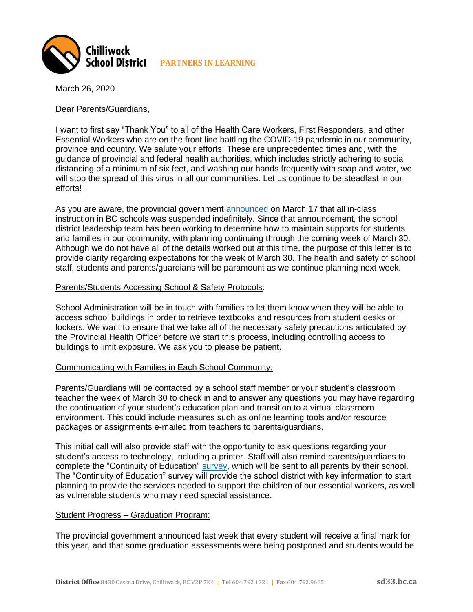

March 26, 2020

Dear Parents/Guardians,

I want to first say "Thank You" to all of the Health Care Workers, First Responders, and other Essential Workers who are on the front line battling the COVID-19 pandemic in our community, province and country. We salute your efforts! These are unprecedented times and, with the guidance of provincial and federal health authorities, which includes strictly adhering to social distancing of a minimum of six feet, and washing our hands frequently with soap and water, we will stop the spread of this virus in all our communities. Let us continue to be steadfast in our efforts!

As you are aware, the provincial government [announced](https://www2.gov.bc.ca/gov/content/education-training/k-12/administration/program-management/safe-caring-and-orderly-schools) on March 17 that all in-class instruction in BC schools was suspended indefinitely. Since that announcement, the school district leadership team has been working to determine how to maintain supports for students and families in our community, with planning continuing through the coming week of March 30. Although we do not have all of the details worked out at this time, the purpose of this letter is to provide clarity regarding expectations for the week of March 30. The health and safety of school staff, students and parents/guardians will be paramount as we continue planning next week.

# Parents/Students Accessing School & Safety Protocols:

School Administration will be in touch with families to let them know when they will be able to access school buildings in order to retrieve textbooks and resources from student desks or lockers. We want to ensure that we take all of the necessary safety precautions articulated by the Provincial Health Officer before we start this process, including controlling access to buildings to limit exposure. We ask you to please be patient.

# Communicating with Families in Each School Community:

Parents/Guardians will be contacted by a school staff member or your student's classroom teacher the week of March 30 to check in and to answer any questions you may have regarding the continuation of your student's education plan and transition to a virtual classroom environment. This could include measures such as online learning tools and/or resource packages or assignments e-mailed from teachers to parents/guardians.

This initial call will also provide staff with the opportunity to ask questions regarding your student's access to technology, including a printer. Staff will also remind parents/guardians to complete the "Continuity of Education" [survey,](https://www.surveymonkey.com/r/WQ9BNXF) which will be sent to all parents by their school. The "Continuity of Education" survey will provide the school district with key information to start planning to provide the services needed to support the children of our essential workers, as well as vulnerable students who may need special assistance.

# Student Progress – Graduation Program:

The provincial government announced last week that every student will receive a final mark for this year, and that some graduation assessments were being postponed and students would be